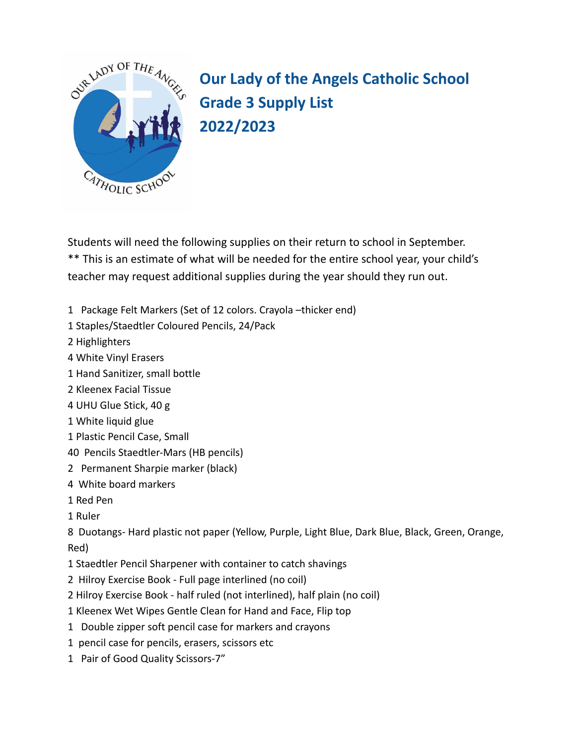

**Our Lady of the Angels Catholic School Grade 3 Supply List 2022/2023**

Students will need the following supplies on their return to school in September. \*\* This is an estimate of what will be needed for the entire school year, your child's teacher may request additional supplies during the year should they run out.

- 1 Package Felt Markers (Set of 12 colors. Crayola –thicker end)
- 1 Staples/Staedtler Coloured Pencils, 24/Pack
- 2 Highlighters
- 4 White Vinyl Erasers
- 1 Hand Sanitizer, small bottle
- 2 Kleenex Facial Tissue
- 4 UHU Glue Stick, 40 g
- 1 White liquid glue
- 1 Plastic Pencil Case, Small
- 40 Pencils Staedtler-Mars (HB pencils)
- 2 Permanent Sharpie marker (black)
- 4 White board markers
- 1 Red Pen
- 1 Ruler

8 Duotangs- Hard plastic not paper (Yellow, Purple, Light Blue, Dark Blue, Black, Green, Orange, Red)

- 1 Staedtler Pencil Sharpener with container to catch shavings
- 2 Hilroy Exercise Book Full page interlined (no coil)
- 2 Hilroy Exercise Book half ruled (not interlined), half plain (no coil)
- 1 Kleenex Wet Wipes Gentle Clean for Hand and Face, Flip top
- 1 Double zipper soft pencil case for markers and crayons
- 1 pencil case for pencils, erasers, scissors etc
- 1 Pair of Good Quality Scissors-7"